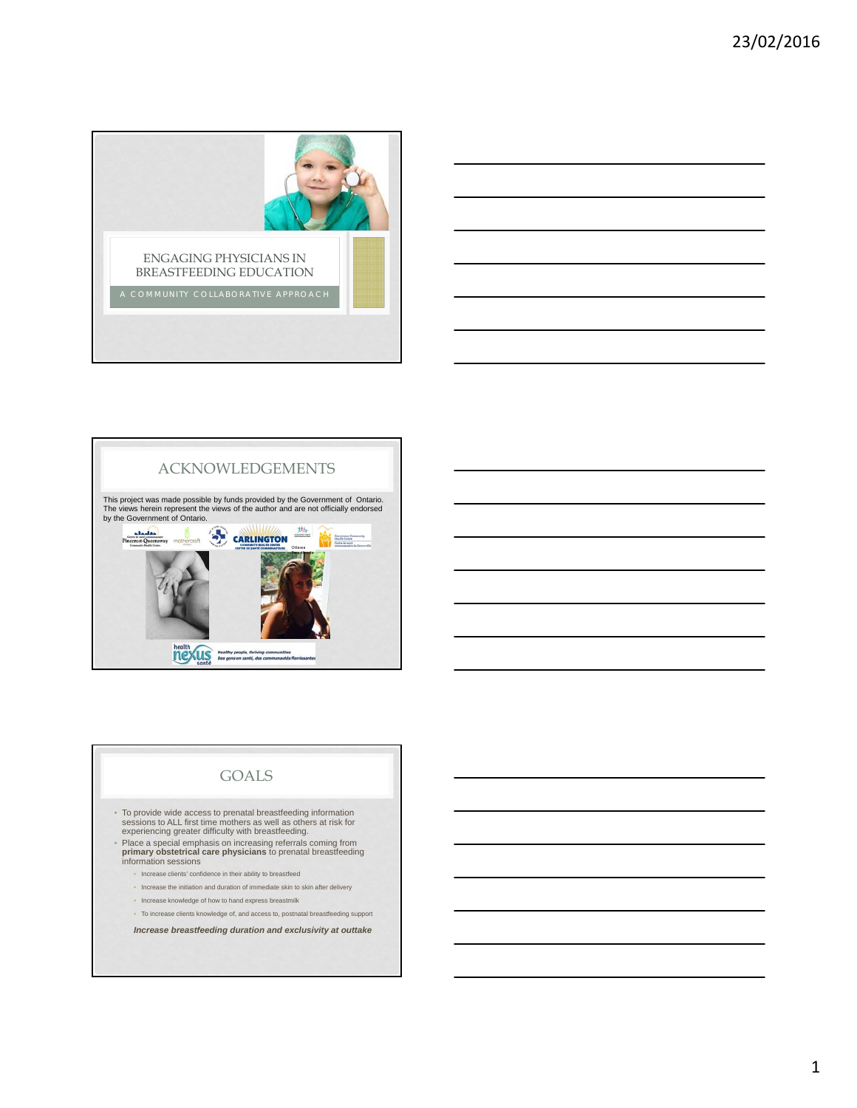





# GOALS

- To provide wide access to prenatal breastfeeding information sessions to ALL first time mothers as well as others at risk for experiencing greater difficulty with breastfeeding.
- Place a special emphasis on increasing referrals coming from **primary obstetrical care physicians** to prenatal breastfeeding information sessions
	- Increase clients' confidence in their ability to breastfeed
	- Increase the initiation and duration of immediate skin to skin after delivery
	- Increase knowledge of how to hand express breastmilk
	- To increase clients knowledge of, and access to, postnatal breastfeeding support

*Increase breastfeeding duration and exclusivity at outtake*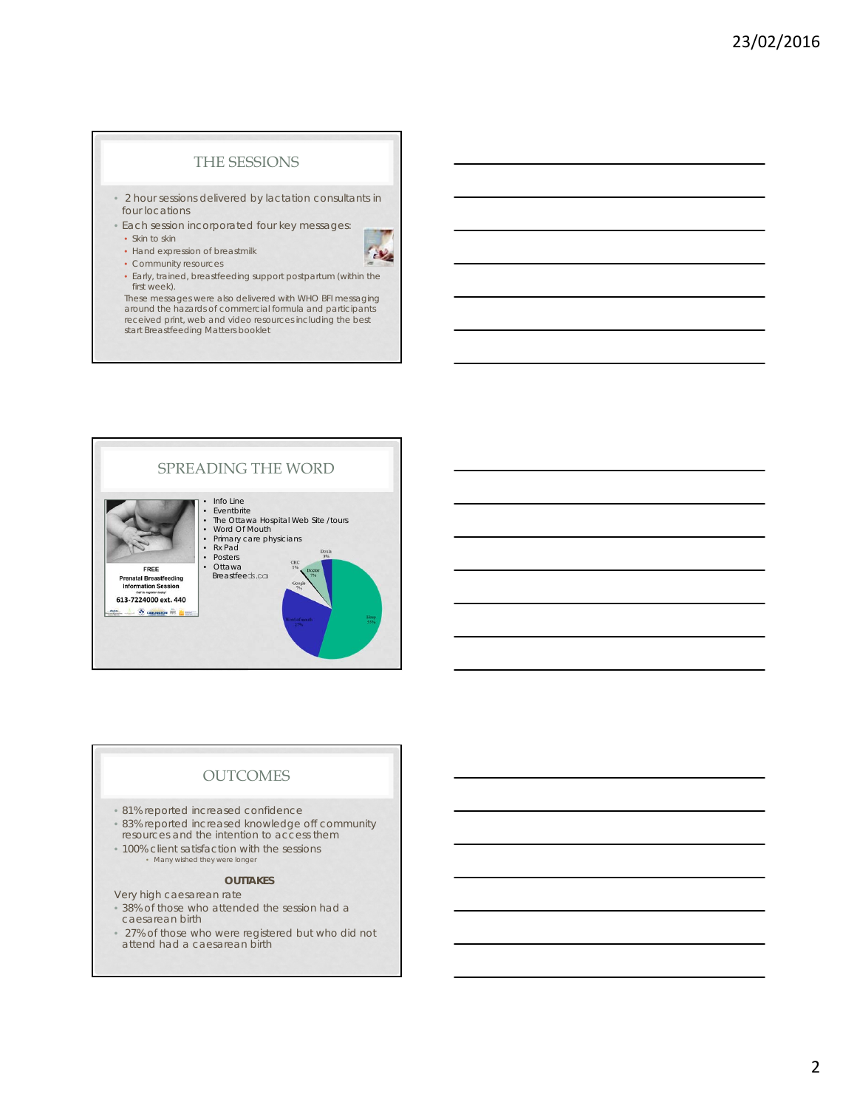### THE SESSIONS

- 2 hour sessions delivered by lactation consultants in four locations
- Each session incorporated four key messages:
- Skin to skin
- Hand expression of breastmilk • Community resources
- $\mathcal{P}_\mathcal{F}$
- Early, trained, breastfeeding support postpartum (within the first week).

These messages were also delivered with WHO BFI messaging around the hazards of commercial formula and participants received print, web and video resources including the best start Breastfeeding Matters booklet



# **OUTCOMES**

- 81% reported increased confidence
- 83% reported increased knowledge off community
- resources and the intention to access them
- 100% client satisfaction with the sessions
- Many wished they were longer

# **OUTTAKES**

- Very high caesarean rate • 38% of those who attended the session had a caesarean birth
- 27% of those who were registered but who did not attend had a caesarean birth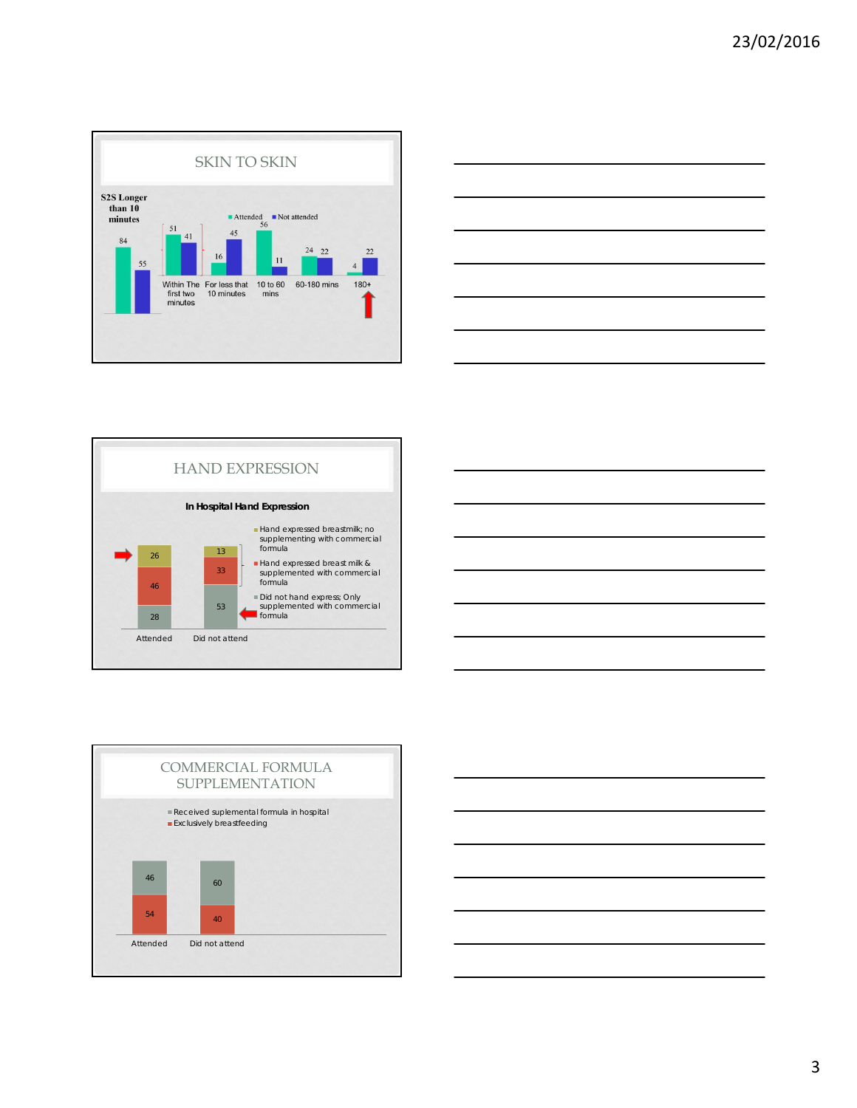









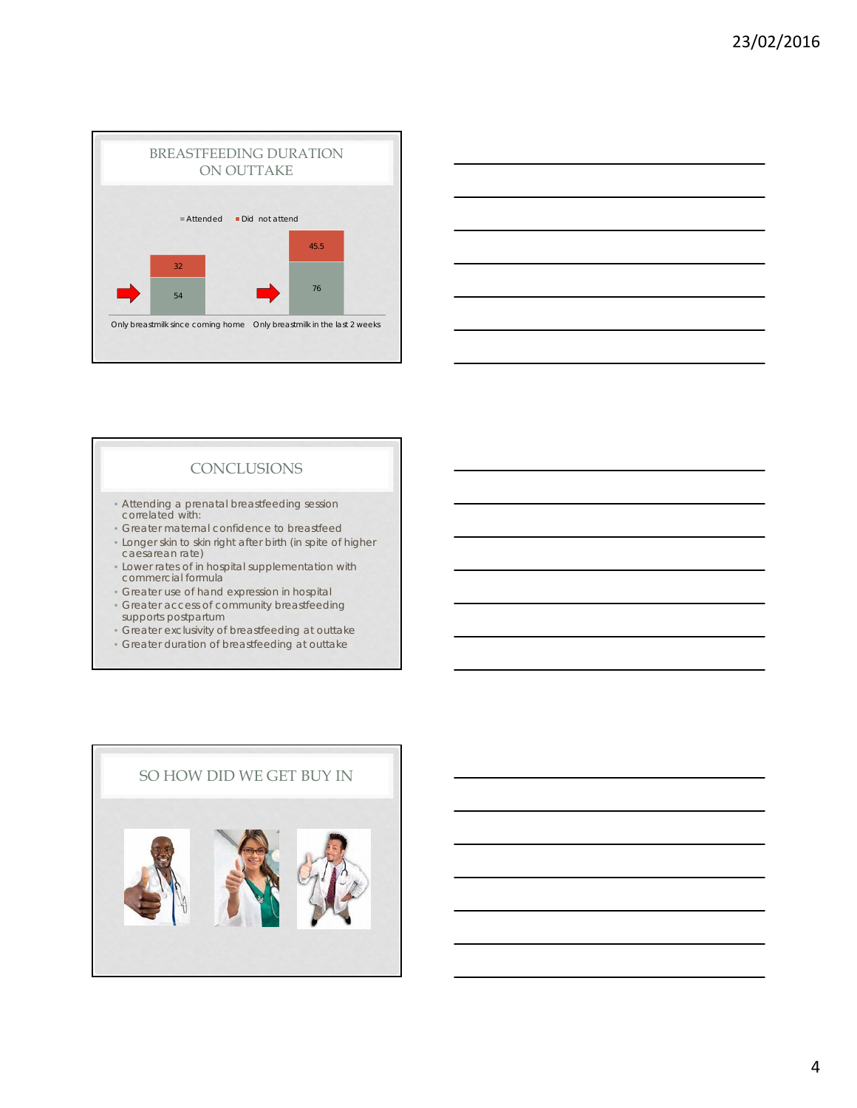



# **CONCLUSIONS**

- Attending a prenatal breastfeeding session correlated with:
- Greater maternal confidence to breastfeed
- Longer skin to skin right after birth (in spite of higher caesarean rate)
- Lower rates of in hospital supplementation with commercial formula
- Greater use of hand expression in hospital
- Greater access of community breastfeeding supports postpartum
- Greater exclusivity of breastfeeding at outtake
- Greater duration of breastfeeding at outtake

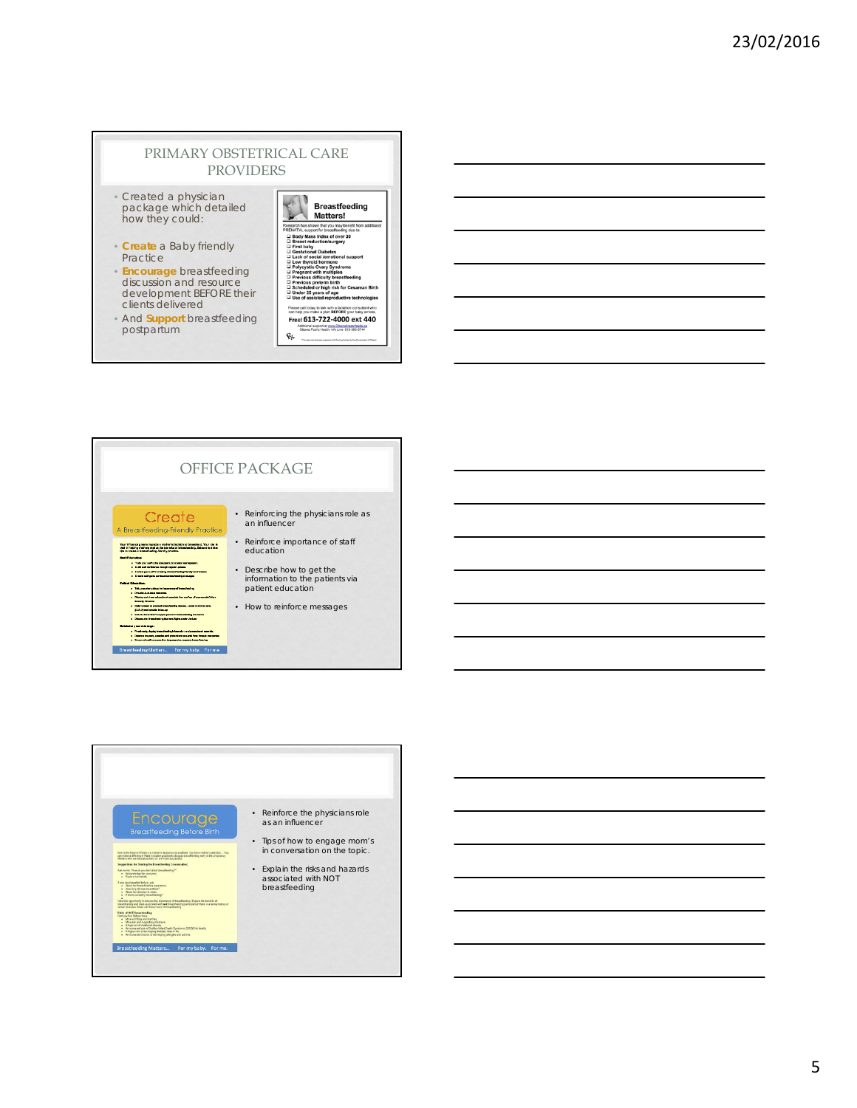#### PRIMARY OBSTETRICAL CARE PROVIDERS

- Created a physician package which detailed how they could:
- **Create** a Baby friendly Practice
- **Encourage** breastfeeding discussion and resource development BEFORE their clients delivered
- And **Support** breastfeeding postpartum

| <b>Breastfeeding</b><br>Matters!                                                                                |
|-----------------------------------------------------------------------------------------------------------------|
| Research has shown that you may benefit from additional<br>PRENATAL support for breastfeeding due to:           |
| G Body Mass Index of over 30<br><b>Q</b> Breast reduction/surgery<br><b>Eirst baby</b><br>Gestational Diabetes  |
| Lack of social /emotional support<br><b>Low thyroid hormone</b>                                                 |
| Polycystic Ovary Syndrome<br><b>D</b> Pregnant with multiples                                                   |
| Previous difficulty breastfeeding<br>Previous preterm birth                                                     |
| Scheduled or high risk for Cesarean Birth<br>Under 25 years of age<br>Use of assisted reproductive technologies |
| Please call today to talk with a lactation consultant who<br>can help you make a plan BEFORE your baby arrives. |
| Free! 613-722-4000 ext 440                                                                                      |
| Additional succeed at www.Ottawabreastfeeds.ca<br>Ottawa Public Health Info Line 613-580-6744                   |
| least areasand with Systematical by the Grant                                                                   |



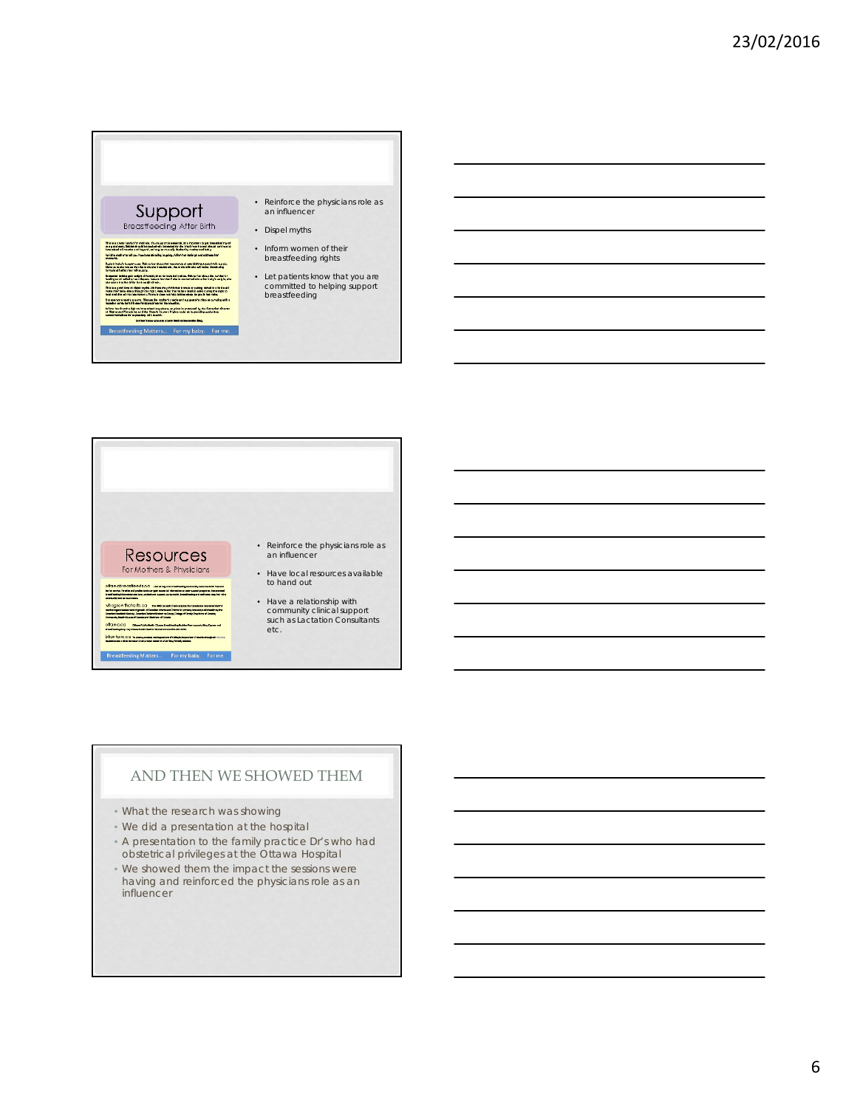



#### AND THEN WE SHOWED THEM

- What the research was showing
- We did a presentation at the hospital
- A presentation to the family practice Dr's who had obstetrical privileges at the Ottawa Hospital
- We showed them the impact the sessions were having and reinforced the physicians role as an influencer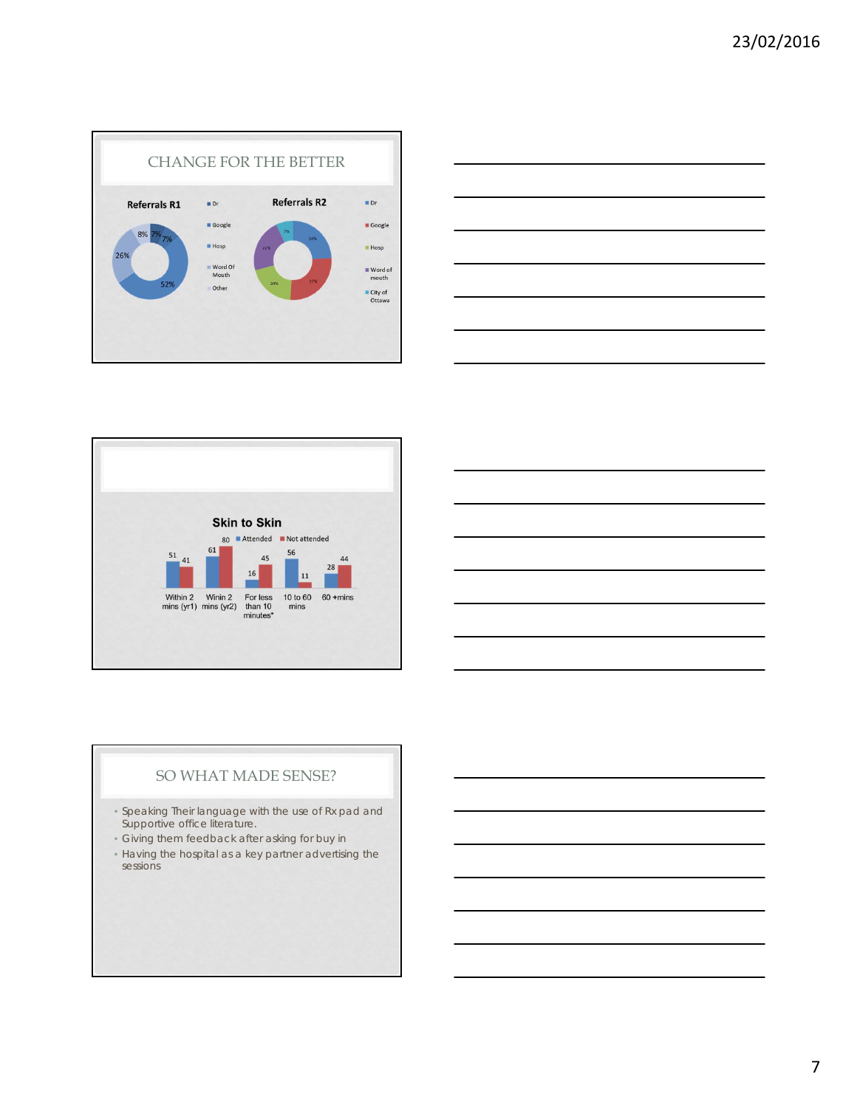





# SO WHAT MADE SENSE?

- Speaking Their language with the use of Rx pad and Supportive office literature.
- Giving them feedback after asking for buy in
- Having the hospital as a key partner advertising the sessions